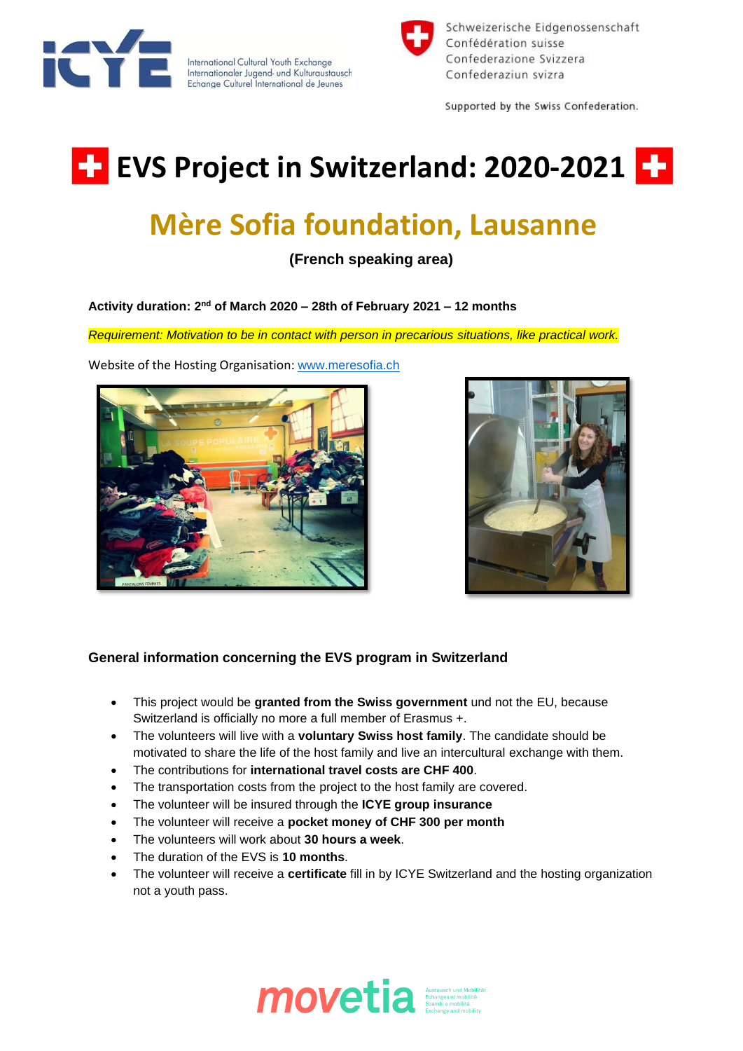

International Cultural Youth Exchange<br>Internationaler Jugend- und Kulturaustausch Echange Culturel International de Jeunes



Schweizerische Eidgenossenschaft Confédération suisse Confederazione Svizzera Confederaziun svizra

Supported by the Swiss Confederation.

## **EVS Project in Switzerland: 2020-2021 FF**

## **Mère Sofia foundation, Lausanne**

**(French speaking area)**

**Activity duration: 2 nd of March 2020 – 28th of February 2021 – 12 months**

*Requirement: Motivation to be in contact with person in precarious situations, like practical work.*



Website of the Hosting Organisation: [www.meresofia.ch](http://www.meresofia.ch/)



## **General information concerning the EVS program in Switzerland**

- This project would be **granted from the Swiss government** und not the EU, because Switzerland is officially no more a full member of Erasmus +.
- The volunteers will live with a **voluntary Swiss host family**. The candidate should be motivated to share the life of the host family and live an intercultural exchange with them.
- The contributions for **international travel costs are CHF 400**.
- The transportation costs from the project to the host family are covered.
- The volunteer will be insured through the **ICYE group insurance**
- The volunteer will receive a **pocket money of CHF 300 per month**
- The volunteers will work about **30 hours a week**.
- The duration of the EVS is **10 months**.
- The volunteer will receive a **certificate** fill in by ICYE Switzerland and the hosting organization not a youth pass.